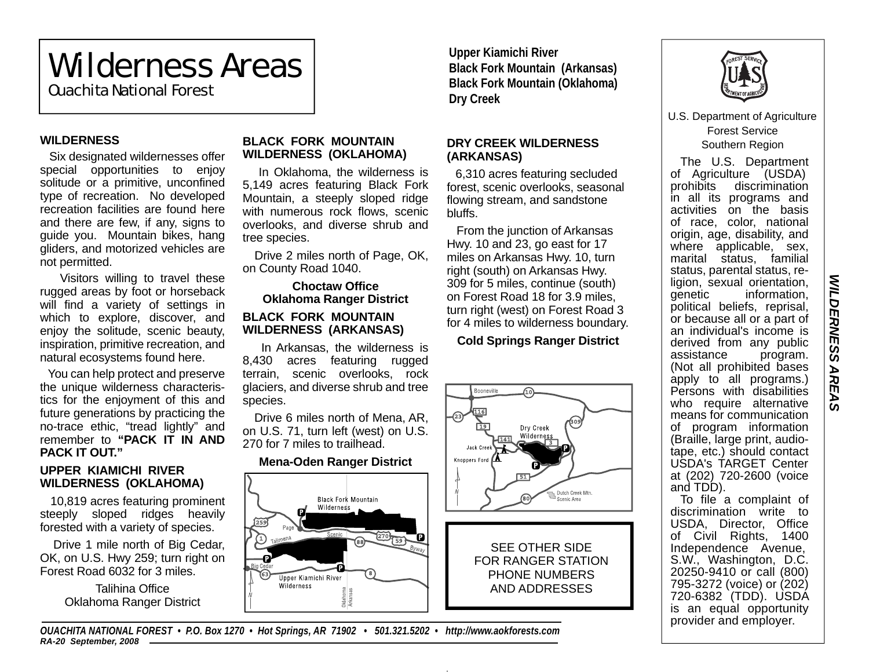# Wilderness Areas

Ouachita National Forest

### **WILDERNESS**

Six designated wildernesses offer special opportunities to enjoy solitude or a primitive, unconfined type of recreation. No developed recreation facilities are found here and there are few, if any, signs to guide you. Mountain bikes, hang gliders, and motorized vehicles are not permitted.

 Visitors willing to travel these rugged areas by foot or horseback will find a variety of settings in which to explore, discover, and enjoy the solitude, scenic beauty, inspiration, primitive recreation, and natural ecosystems found here.

 You can help protect and preserve the unique wilderness characteristics for the enjoyment of this and future generations by practicing the no-trace ethic, "tread lightly" and remember to **"PACK IT IN AND PACK IT OUT."**

### **UPPER KIAMICHI RIVER WILDERNESS (OKLAHOMA)**

 10,819 acres featuring prominent steeply sloped ridges heavily forested with a variety of species.

 Drive 1 mile north of Big Cedar, OK, on U.S. Hwy 259; turn right on Forest Road 6032 for 3 miles.

> Talihina OfficeOklahoma Ranger District

### **BLACK FORK MOUNTAIN WILDERNESS (OKLAHOMA)**

 In Oklahoma, the wilderness is 5,149 acres featuring Black Fork Mountain, a steeply sloped ridge with numerous rock flows, scenic overlooks, and diverse shrub and tree species.

 Drive 2 miles north of Page, OK, on County Road 1040.

### **Choctaw OfficeOklahoma Ranger District BLACK FORK MOUNTAIN WILDERNESS (ARKANSAS)**

 In Arkansas, the wilderness is 8,430 acres featuring rugged terrain, scenic overlooks, rock glaciers, and diverse shrub and tree species.

 Drive 6 miles north of Mena, AR, on U.S. 71, turn left (west) on U.S. 270 for 7 miles to trailhead.

### **Mena-Oden Ranger District**



*OUACHITA NATIONAL FOREST • P.O. Box 1270 • Hot Springs, AR 71902 • 501.321.5202 • http://www.aokforests.com RA-20 September, 2008*

**Upper Kiamichi River Black Fork Mountain (Arkansas) Black Fork Mountain (Oklahoma) Dry Creek** 

### **DRY CREEK WILDERNESS (ARKANSAS)**

6,310 acres featuring secluded forest, scenic overlooks, seasonal flowing stream, and sandstone bluffs.

 From the junction of Arkansas Hwy. 10 and 23, go east for 17 miles on Arkansas Hwy. 10, turn right (south) on Arkansas Hwy. 309 for 5 miles, continue (south) on Forest Road 18 for 3.9 miles, turn right (west) on Forest Road 3 for 4 miles to wilderness boundary.

## **Cold Springs Ranger District**





U.S. Department of Agriculture Forest Service Southern Region

The U.S. Department of Agriculture (USDA) prohibits discrimination in all its programs and activities on the basis of race, color, national origin, age, disability, and where applicable, sex, marital status, familial status, parental status, religion, sexual orientation,<br>genetic information. information. political beliefs, reprisal, or because all or a part of an individual's income is derived from any public assistance program. (Not all prohibited bases apply to all programs.) Persons with disabilities who require alternative means for communication of program information (Braille, large print, audiotape, etc.) should contact USDA's TARGET Center at (202) 720-2600 (voice and TDD).

To file a complaint of discrimination write to USDA, Director, Office of Civil Rights, 1400 Independence Avenue, S.W., Washington, D.C. 20250-9410 or call (800) 795-3272 (voice) or (202) 720-6382 (TDD). USDA is an equal opportunity provider and employer.